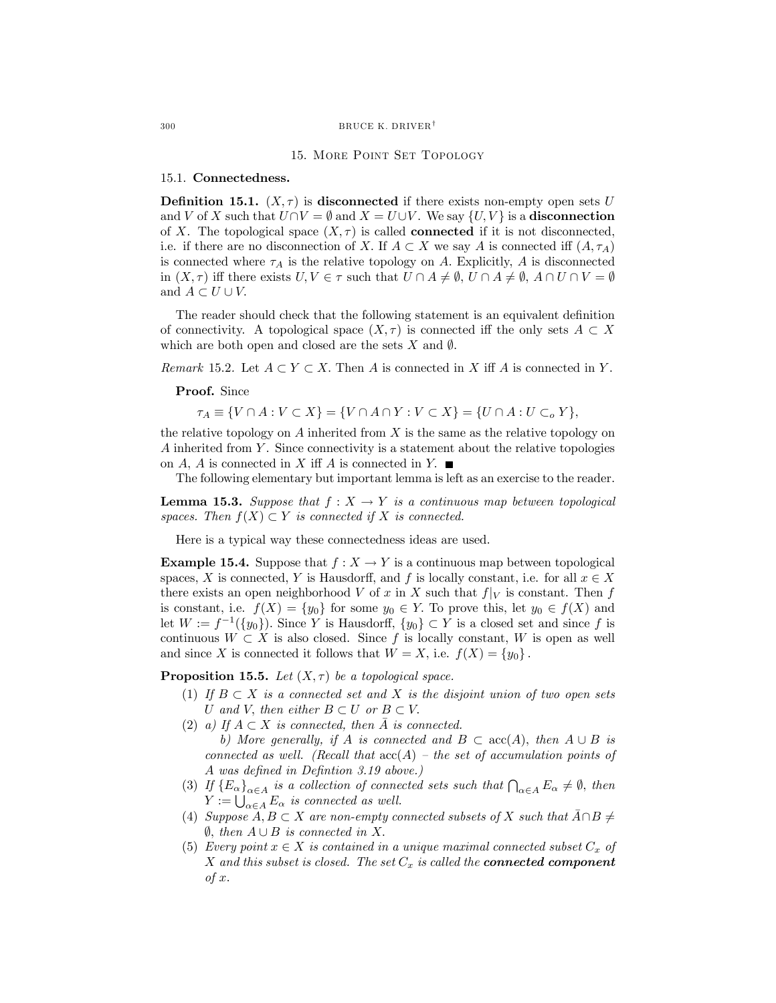### 300 BRUCE K. DRIVER<sup>†</sup>

### 15. More Point Set Topology

### 15.1. Connectedness.

**Definition 15.1.**  $(X, \tau)$  is disconnected if there exists non-empty open sets U and V of X such that  $U \cap V = \emptyset$  and  $X = U \cup V$ . We say  $\{U, V\}$  is a disconnection of X. The topological space  $(X, \tau)$  is called **connected** if it is not disconnected, i.e. if there are no disconnection of X. If  $A \subset X$  we say A is connected iff  $(A, \tau_A)$ is connected where  $\tau_A$  is the relative topology on A. Explicitly, A is disconnected in  $(X, \tau)$  iff there exists  $U, V \in \tau$  such that  $U \cap A \neq \emptyset$ ,  $U \cap A \neq \emptyset$ ,  $A \cap U \cap V = \emptyset$ and  $A \subset U \cup V$ .

The reader should check that the following statement is an equivalent definition of connectivity. A topological space  $(X, \tau)$  is connected iff the only sets  $A \subset X$ which are both open and closed are the sets X and  $\emptyset$ .

Remark 15.2. Let  $A \subset Y \subset X$ . Then A is connected in X iff A is connected in Y.

Proof. Since

 $\tau_A \equiv \{V \cap A : V \subset X\} = \{V \cap A \cap Y : V \subset X\} = \{U \cap A : U \subset_{o} Y\},\$ 

the relative topology on  $A$  inherited from  $X$  is the same as the relative topology on A inherited from  $Y$ . Since connectivity is a statement about the relative topologies on A, A is connected in X iff A is connected in Y.  $\blacksquare$ 

The following elementary but important lemma is left as an exercise to the reader.

**Lemma 15.3.** Suppose that  $f : X \to Y$  is a continuous map between topological spaces. Then  $f(X) \subset Y$  is connected if X is connected.

Here is a typical way these connectedness ideas are used.

**Example 15.4.** Suppose that  $f : X \to Y$  is a continuous map between topological spaces, X is connected, Y is Hausdorff, and f is locally constant, i.e. for all  $x \in X$ there exists an open neighborhood V of x in X such that  $f|_V$  is constant. Then f is constant, i.e.  $f(X) = \{y_0\}$  for some  $y_0 \in Y$ . To prove this, let  $y_0 \in f(X)$  and let  $W := f^{-1}(\{y_0\})$ . Since Y is Hausdorff,  $\{y_0\} \subset Y$  is a closed set and since f is continuous  $W \subset X$  is also closed. Since f is locally constant, W is open as well and since X is connected it follows that  $W = X$ , i.e.  $f(X) = \{y_0\}$ .

**Proposition 15.5.** Let  $(X, \tau)$  be a topological space.

- (1) If  $B \subset X$  is a connected set and X is the disjoint union of two open sets U and V, then either  $B \subset U$  or  $B \subset V$ .
- (2) a) If  $A \subset X$  is connected, then A is connected. b) More generally, if A is connected and  $B \subset \operatorname{acc}(A)$ , then  $A \cup B$  is connected as well. (Recall that  $\operatorname{acc}(A)$  – the set of accumulation points of A was defined in Defintion 3.19 above.)
- (3) If  $\{E_{\alpha}\}_{{\alpha \in A}}$  is a collection of connected sets such that  $\bigcap_{{\alpha \in A}} E_{\alpha} \neq \emptyset$ , then  $Y := \bigcup_{\alpha \in A} E_{\alpha}$  is connected as well.
- (4) Suppose  $A, B \subset X$  are non-empty connected subsets of X such that  $\overline{A} \cap B \neq \emptyset$  $\emptyset$ , then  $A \cup B$  is connected in X.
- (5) Every point  $x \in X$  is contained in a unique maximal connected subset  $C_x$  of X and this subset is closed. The set  $C_x$  is called the **connected component**  $of x.$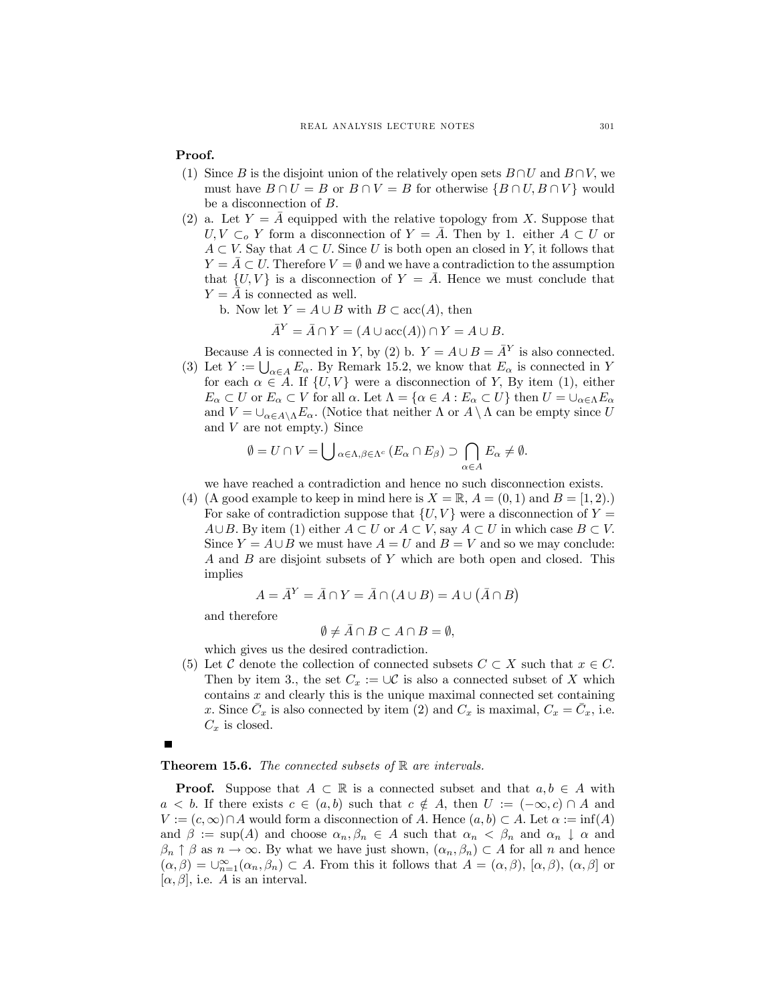# Proof.

- (1) Since B is the disjoint union of the relatively open sets  $B \cap U$  and  $B \cap V$ , we must have  $B \cap U = B$  or  $B \cap V = B$  for otherwise  $\{B \cap U, B \cap V\}$  would be a disconnection of B.
- (2) a. Let  $Y = A$  equipped with the relative topology from X. Suppose that  $U, V \subset_{o} Y$  form a disconnection of  $Y = A$ . Then by 1. either  $A \subset U$  or  $A \subset V$ . Say that  $A \subset U$ . Since U is both open an closed in Y, it follows that  $Y = \overline{A} \subset U$ . Therefore  $V = \emptyset$  and we have a contradiction to the assumption that  $\{U, V\}$  is a disconnection of  $Y = \overline{A}$ . Hence we must conclude that  $Y = \overline{A}$  is connected as well.
	- b. Now let  $Y = A \cup B$  with  $B \subset \operatorname{acc}(A)$ , then

$$
\bar{A}^Y = \bar{A} \cap Y = (A \cup \text{acc}(A)) \cap Y = A \cup B.
$$

Because A is connected in Y, by (2) b.  $Y = A \cup B = \overline{A}^Y$  is also connected.

(3) Let  $Y := \bigcup_{\alpha \in A} E_{\alpha}$ . By Remark 15.2, we know that  $E_{\alpha}$  is connected in Y for each  $\alpha \in A$ . If  $\{U, V\}$  were a disconnection of Y, By item (1), either  $E_{\alpha} \subset U$  or  $E_{\alpha} \subset V$  for all  $\alpha$ . Let  $\Lambda = \{\alpha \in A : E_{\alpha} \subset U\}$  then  $U = \cup_{\alpha \in \Lambda} E_{\alpha}$ and  $V = \bigcup_{\alpha \in A \setminus \Lambda} E_{\alpha}$ . (Notice that neither  $\Lambda$  or  $A \setminus \Lambda$  can be empty since U and V are not empty.) Since

$$
\emptyset = U \cap V = \bigcup_{\alpha \in \Lambda, \beta \in \Lambda^c} (E_{\alpha} \cap E_{\beta}) \supset \bigcap_{\alpha \in A} E_{\alpha} \neq \emptyset.
$$

we have reached a contradiction and hence no such disconnection exists.

(4) (A good example to keep in mind here is  $X = \mathbb{R}$ ,  $A = (0, 1)$  and  $B = [1, 2)$ .) For sake of contradiction suppose that  $\{U, V\}$  were a disconnection of  $Y =$  $A\cup B$ . By item (1) either  $A\subset U$  or  $A\subset V$ , say  $A\subset U$  in which case  $B\subset V$ . Since  $Y = A \cup B$  we must have  $A = U$  and  $B = V$  and so we may conclude: A and B are disjoint subsets of Y which are both open and closed. This implies

$$
A = \overline{A}^Y = \overline{A} \cap Y = \overline{A} \cap (A \cup B) = A \cup (\overline{A} \cap B)
$$

and therefore

$$
\emptyset \neq \bar{A} \cap B \subset A \cap B = \emptyset,
$$

which gives us the desired contradiction.

(5) Let C denote the collection of connected subsets  $C \subset X$  such that  $x \in C$ . Then by item 3., the set  $C_x := \cup \mathcal{C}$  is also a connected subset of X which contains  $x$  and clearly this is the unique maximal connected set containing x. Since  $\overline{C}_x$  is also connected by item (2) and  $C_x$  is maximal,  $C_x = C_x$ , i.e.  $C_x$  is closed.

## **Theorem 15.6.** The connected subsets of  $\mathbb{R}$  are intervals.

**Proof.** Suppose that  $A \subset \mathbb{R}$  is a connected subset and that  $a, b \in A$  with  $a < b$ . If there exists  $c \in (a, b)$  such that  $c \notin A$ , then  $U := (-\infty, c) \cap A$  and  $V := (c, \infty) \cap A$  would form a disconnection of A. Hence  $(a, b) \subset A$ . Let  $\alpha := \inf(A)$ and  $\beta := \sup(A)$  and choose  $\alpha_n, \beta_n \in A$  such that  $\alpha_n < \beta_n$  and  $\alpha_n \downarrow \alpha$  and  $\beta_n \uparrow \beta$  as  $n \to \infty$ . By what we have just shown,  $(\alpha_n, \beta_n) \subset A$  for all n and hence  $(\alpha, \beta) = \bigcup_{n=1}^{\infty} (\alpha_n, \beta_n) \subset A$ . From this it follows that  $A = (\alpha, \beta)$ ,  $[\alpha, \beta)$ ,  $(\alpha, \beta]$  or  $[\alpha, \beta]$ , i.e. A is an interval.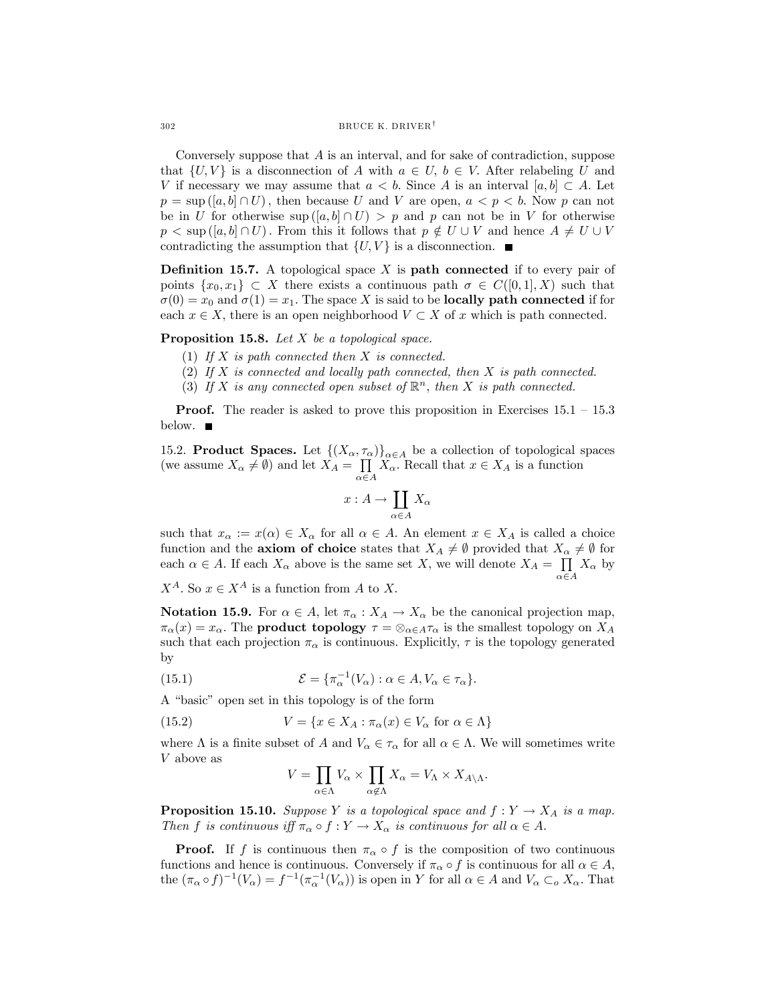$302$  BRUCE K. DRIVER<sup>†</sup>

Conversely suppose that A is an interval, and for sake of contradiction, suppose that  $\{U, V\}$  is a disconnection of A with  $a \in U$ ,  $b \in V$ . After relabeling U and V if necessary we may assume that  $a < b$ . Since A is an interval  $[a, b] \subset A$ . Let  $p = \sup([a, b] \cap U)$ , then because U and V are open,  $a < p < b$ . Now p can not be in U for otherwise sup  $([a, b] \cap U) > p$  and p can not be in V for otherwise  $p < \sup([a, b] \cap U)$ . From this it follows that  $p \notin U \cup V$  and hence  $A \neq U \cup V$ contradicting the assumption that  $\{U, V\}$  is a disconnection.

**Definition 15.7.** A topological space  $X$  is **path connected** if to every pair of points  $\{x_0, x_1\} \subset X$  there exists a continuous path  $\sigma \in C([0, 1], X)$  such that  $\sigma(0) = x_0$  and  $\sigma(1) = x_1$ . The space X is said to be **locally path connected** if for each  $x \in X$ , there is an open neighborhood  $V \subset X$  of x which is path connected.

Proposition 15.8. Let X be a topological space.

- (1) If  $X$  is path connected then  $X$  is connected.
- (2) If  $X$  is connected and locally path connected, then  $X$  is path connected.
- (3) If X is any connected open subset of  $\mathbb{R}^n$ , then X is path connected.

**Proof.** The reader is asked to prove this proposition in Exercises  $15.1 - 15.3$ below.  $\blacksquare$ 

15.2. **Product Spaces.** Let  $\{(X_{\alpha}, \tau_{\alpha})\}_{\alpha \in A}$  be a collection of topological spaces (we assume  $X_{\alpha} \neq \emptyset$ ) and let  $X_A = \prod_{\alpha \in A} X_{\alpha}$ . Recall that  $x \in X_A$  is a function

$$
x:A\to \coprod_{\alpha\in A}X_\alpha
$$

such that  $x_{\alpha} := x(\alpha) \in X_{\alpha}$  for all  $\alpha \in A$ . An element  $x \in X_A$  is called a choice function and the **axiom of choice** states that  $X_A \neq \emptyset$  provided that  $X_\alpha \neq \emptyset$  for each  $\alpha \in A$ . If each  $X_{\alpha}$  above is the same set X, we will denote  $X_A = \prod_{\alpha \in A}$  $X_{\alpha}$  by

 $X^A$ . So  $x \in X^A$  is a function from A to X.

**Notation 15.9.** For  $\alpha \in A$ , let  $\pi_{\alpha}: X_A \to X_{\alpha}$  be the canonical projection map,  $\pi_{\alpha}(x) = x_{\alpha}$ . The **product topology**  $\tau = \otimes_{\alpha \in A} \tau_{\alpha}$  is the smallest topology on  $X_A$ such that each projection  $\pi_{\alpha}$  is continuous. Explicitly,  $\tau$  is the topology generated by

(15.1) 
$$
\mathcal{E} = \{\pi_{\alpha}^{-1}(V_{\alpha}) : \alpha \in A, V_{\alpha} \in \tau_{\alpha}\}.
$$

A "basic" open set in this topology is of the form

(15.2) 
$$
V = \{x \in X_A : \pi_\alpha(x) \in V_\alpha \text{ for } \alpha \in \Lambda\}
$$

where  $\Lambda$  is a finite subset of A and  $V_{\alpha} \in \tau_{\alpha}$  for all  $\alpha \in \Lambda$ . We will sometimes write V above as

$$
V = \prod_{\alpha \in \Lambda} V_{\alpha} \times \prod_{\alpha \not \in \Lambda} X_{\alpha} = V_{\Lambda} \times X_{A \backslash \Lambda}.
$$

**Proposition 15.10.** Suppose Y is a topological space and  $f: Y \to X_A$  is a map. Then f is continuous iff  $\pi_{\alpha} \circ f : Y \to X_{\alpha}$  is continuous for all  $\alpha \in A$ .

**Proof.** If f is continuous then  $\pi_{\alpha} \circ f$  is the composition of two continuous functions and hence is continuous. Conversely if  $\pi_{\alpha} \circ f$  is continuous for all  $\alpha \in A$ , the  $(\pi_\alpha \circ f)^{-1}(V_\alpha) = f^{-1}(\pi_\alpha^{-1}(V_\alpha))$  is open in Y for all  $\alpha \in A$  and  $V_\alpha \subset_{\alpha} X_\alpha$ . That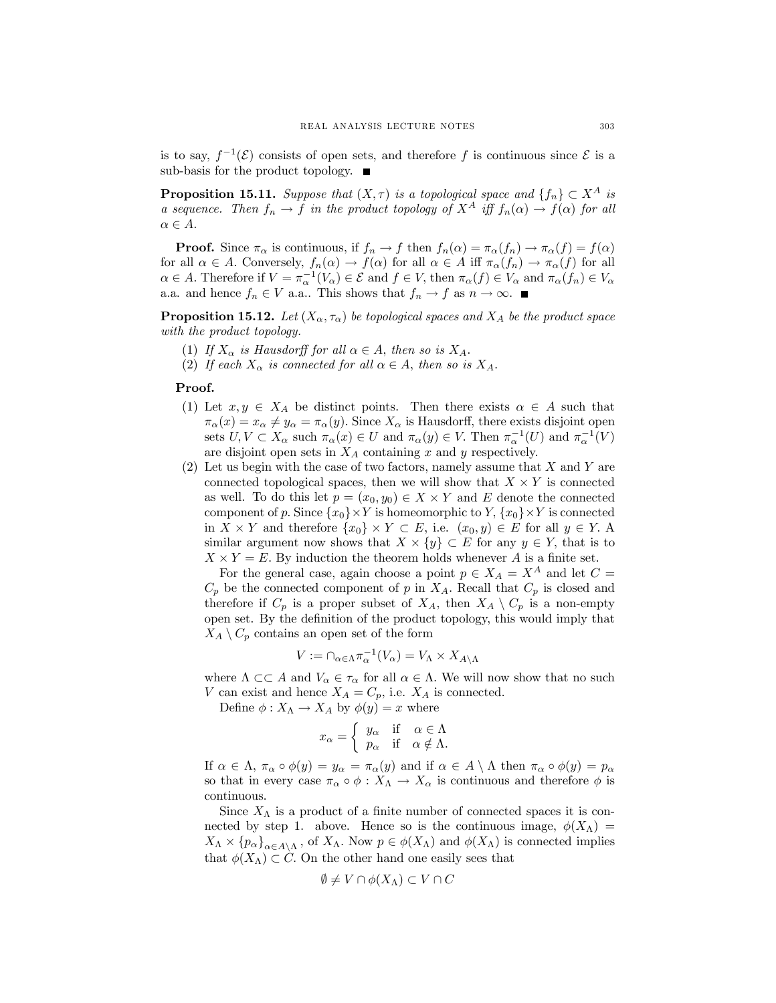is to say,  $f^{-1}(\mathcal{E})$  consists of open sets, and therefore f is continuous since  $\mathcal{E}$  is a sub-basis for the product topology.  $\blacksquare$ 

**Proposition 15.11.** Suppose that  $(X, \tau)$  is a topological space and  $\{f_n\} \subset X^A$  is a sequence. Then  $f_n \to f$  in the product topology of  $X^A$  iff  $f_n(\alpha) \to f(\alpha)$  for all  $\alpha \in A$ .

**Proof.** Since  $\pi_{\alpha}$  is continuous, if  $f_n \to f$  then  $f_n(\alpha) = \pi_{\alpha}(f_n) \to \pi_{\alpha}(f) = f(\alpha)$ for all  $\alpha \in A$ . Conversely,  $f_n(\alpha) \to f(\alpha)$  for all  $\alpha \in A$  iff  $\pi_\alpha(f_n) \to \pi_\alpha(f)$  for all  $\alpha \in A$ . Therefore if  $V = \pi_{\alpha}^{-1}(V_{\alpha}) \in \mathcal{E}$  and  $f \in V$ , then  $\pi_{\alpha}(f) \in V_{\alpha}$  and  $\pi_{\alpha}(f_n) \in V_{\alpha}$ a.a. and hence  $f_n \in V$  a.a.. This shows that  $f_n \to f$  as  $n \to \infty$ .

**Proposition 15.12.** Let  $(X_{\alpha}, \tau_{\alpha})$  be topological spaces and  $X_A$  be the product space with the product topology.

- (1) If  $X_{\alpha}$  is Hausdorff for all  $\alpha \in A$ , then so is  $X_A$ .
- (2) If each  $X_{\alpha}$  is connected for all  $\alpha \in A$ , then so is  $X_A$ .

# Proof.

- (1) Let  $x, y \in X_A$  be distinct points. Then there exists  $\alpha \in A$  such that  $\pi_{\alpha}(x) = x_{\alpha} \neq y_{\alpha} = \pi_{\alpha}(y)$ . Since  $X_{\alpha}$  is Hausdorff, there exists disjoint open sets  $U, V \subset X_\alpha$  such  $\pi_\alpha(x) \in U$  and  $\pi_\alpha(y) \in V$ . Then  $\pi_\alpha^{-1}(U)$  and  $\pi_\alpha^{-1}(V)$ are disjoint open sets in  $X_A$  containing x and y respectively.
- $(2)$  Let us begin with the case of two factors, namely assume that X and Y are connected topological spaces, then we will show that  $X \times Y$  is connected as well. To do this let  $p = (x_0, y_0) \in X \times Y$  and E denote the connected component of p. Since  $\{x_0\}\times Y$  is homeomorphic to Y,  $\{x_0\}\times Y$  is connected in  $X \times Y$  and therefore  $\{x_0\} \times Y \subset E$ , i.e.  $(x_0, y) \in E$  for all  $y \in Y$ . A similar argument now shows that  $X \times \{y\} \subset E$  for any  $y \in Y$ , that is to  $X \times Y = E$ . By induction the theorem holds whenever A is a finite set.

For the general case, again choose a point  $p \in X_A = X^A$  and let  $C =$  $C_p$  be the connected component of p in  $X_A$ . Recall that  $C_p$  is closed and therefore if  $C_p$  is a proper subset of  $X_A$ , then  $X_A \setminus C_p$  is a non-empty open set. By the definition of the product topology, this would imply that  $X_A \setminus C_p$  contains an open set of the form

$$
V := \cap_{\alpha \in \Lambda} \pi_{\alpha}^{-1}(V_{\alpha}) = V_{\Lambda} \times X_{A \setminus \Lambda}
$$

where  $\Lambda \subset\subset A$  and  $V_\alpha \in \tau_\alpha$  for all  $\alpha \in \Lambda$ . We will now show that no such V can exist and hence  $X_A = C_p$ , i.e.  $X_A$  is connected.

Define  $\phi: X_{\Lambda} \to X_A$  by  $\phi(y) = x$  where

$$
x_{\alpha} = \begin{cases} y_{\alpha} & \text{if } \alpha \in \Lambda \\ p_{\alpha} & \text{if } \alpha \notin \Lambda. \end{cases}
$$

If  $\alpha \in \Lambda$ ,  $\pi_{\alpha} \circ \phi(y) = y_{\alpha} = \pi_{\alpha}(y)$  and if  $\alpha \in A \setminus \Lambda$  then  $\pi_{\alpha} \circ \phi(y) = p_{\alpha}$ so that in every case  $\pi_{\alpha} \circ \phi : X_{\Lambda} \to X_{\alpha}$  is continuous and therefore  $\phi$  is continuous.

Since  $X_{\Lambda}$  is a product of a finite number of connected spaces it is connected by step 1. above. Hence so is the continuous image,  $\phi(X_\Lambda)$  =  $X_\Lambda \times \{p_\alpha\}_{\alpha \in A \setminus \Lambda}$ , of  $X_\Lambda$ . Now  $p \in \phi(X_\Lambda)$  and  $\phi(X_\Lambda)$  is connected implies that  $\phi(X_\Lambda) \subset C$ . On the other hand one easily sees that

$$
\emptyset \neq V \cap \phi(X_{\Lambda}) \subset V \cap C
$$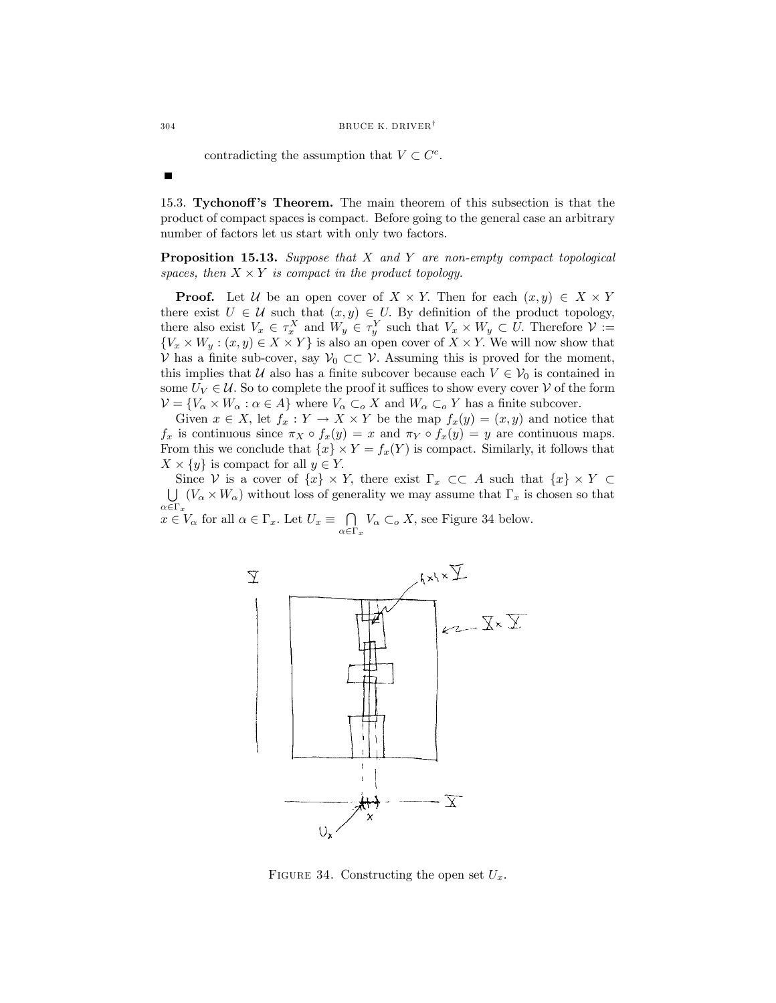contradicting the assumption that  $V \subset C^c$ .

15.3. Tychonoff's Theorem. The main theorem of this subsection is that the product of compact spaces is compact. Before going to the general case an arbitrary number of factors let us start with only two factors.

Proposition 15.13. Suppose that X and Y are non-empty compact topological spaces, then  $X \times Y$  is compact in the product topology.

**Proof.** Let U be an open cover of  $X \times Y$ . Then for each  $(x, y) \in X \times Y$ there exist  $U \in \mathcal{U}$  such that  $(x, y) \in U$ . By definition of the product topology, there also exist  $V_x \in \tau_x^X$  and  $W_y \in \tau_y^Y$  such that  $V_x \times W_y \subset U$ . Therefore  $\mathcal{V} :=$  $\{V_x \times W_y : (x, y) \in X \times Y\}$  is also an open cover of  $X \times Y$ . We will now show that V has a finite sub-cover, say  $\mathcal{V}_0 \subset\subset \mathcal{V}$ . Assuming this is proved for the moment, this implies that U also has a finite subcover because each  $V \in V_0$  is contained in some  $U_V \in \mathcal{U}$ . So to complete the proof it suffices to show every cover  $\mathcal{V}$  of the form  $\mathcal{V}=\{V_\alpha\times W_\alpha:\alpha\in A\}$  where  $V_\alpha\subset_oX$  and  $W_\alpha\subset_oY$  has a finite subcover.

Given  $x \in X$ , let  $f_x : Y \to X \times Y$  be the map  $f_x(y) = (x, y)$  and notice that  $f_x$  is continuous since  $\pi_X \circ f_x(y) = x$  and  $\pi_Y \circ f_x(y) = y$  are continuous maps. From this we conclude that  $\{x\} \times Y = f_x(Y)$  is compact. Similarly, it follows that  $X \times \{y\}$  is compact for all  $y \in Y$ .<br>Since  $V$  is a cover of  $\{x\} \times Y$ , there exist  $\Gamma_x \subset\subset A$  such that  $\{x\} \times Y \subset$ 

Since V is a cover of  $\{x\} \times Y$ , there exist  $\Gamma_x \subset \subset A$  such that  $\{x\} \times Y \subset \Box$ <br> $\Box$   $(V_\sim \times W_\sim)$  without loss of generality we may assume that  $\Gamma_x$  is chosen so that  $\bigcup_{\alpha \in \Gamma_x} (V_\alpha \times W_\alpha)$  without loss of generality we may assume that  $\Gamma_x$  is chosen so that  $x \in V_\alpha$  for all  $\alpha \in \Gamma_x$ . Let  $U_x \equiv \bigcap_{\alpha \in \Gamma_x} V_\alpha \subset_o X$ , see Figure 34 below.



FIGURE 34. Constructing the open set  $U_x$ .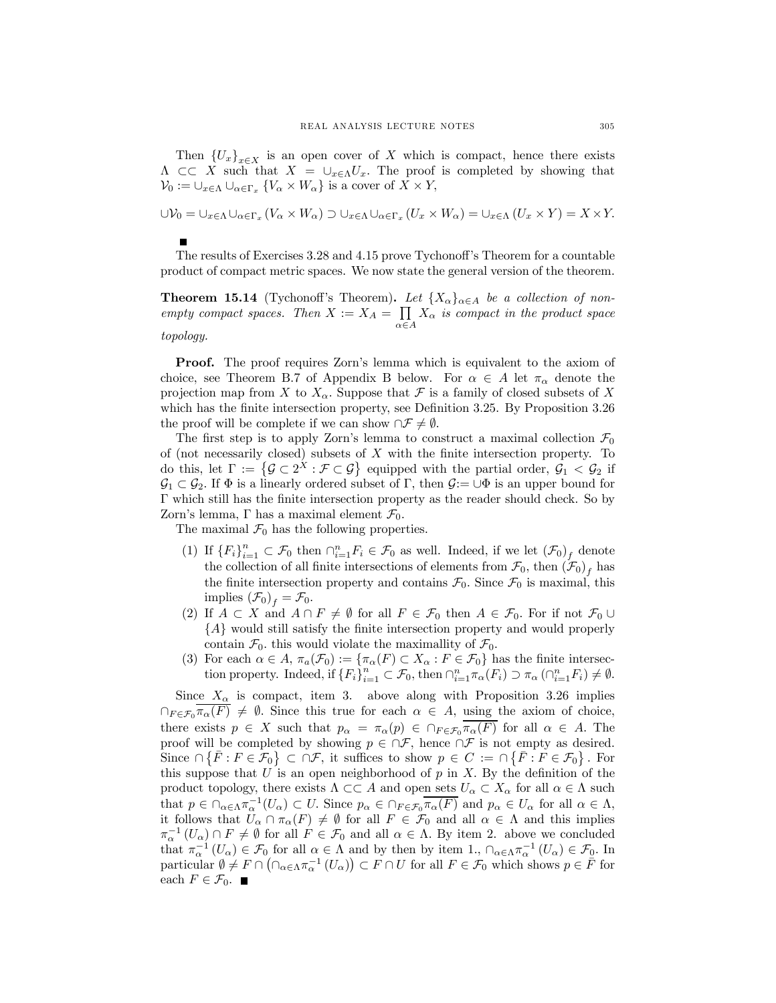Then  ${U_x}_{x \in X}$  is an open cover of X which is compact, hence there exists  $\Lambda \subset\subset X$  such that  $X = \cup_{x\in\Lambda} U_x$ . The proof is completed by showing that  $\mathcal{V}_0 := \cup_{x \in \Lambda} \cup_{\alpha \in \Gamma_x} \{V_\alpha \times W_\alpha\}$  is a cover of  $X \times Y$ ,

$$
\bigcup V_0 = \bigcup_{x \in \Lambda} \bigcup_{\alpha \in \Gamma_x} (V_\alpha \times W_\alpha) \supset \bigcup_{x \in \Lambda} \bigcup_{\alpha \in \Gamma_x} (U_x \times W_\alpha) = \bigcup_{x \in \Lambda} (U_x \times Y) = X \times Y.
$$

The results of Exercises 3.28 and 4.15 prove Tychonoff's Theorem for a countable product of compact metric spaces. We now state the general version of the theorem.

**Theorem 15.14** (Tychonoff's Theorem). Let  $\{X_{\alpha}\}_{{\alpha \in A}}$  be a collection of nonempty compact spaces. Then  $X := X_A = \prod$  $\alpha \in A$  $X_{\alpha}$  is compact in the product space topology.

Proof. The proof requires Zorn's lemma which is equivalent to the axiom of choice, see Theorem B.7 of Appendix B below. For  $\alpha \in A$  let  $\pi_{\alpha}$  denote the projection map from X to  $X_{\alpha}$ . Suppose that F is a family of closed subsets of X which has the finite intersection property, see Definition 3.25. By Proposition 3.26 the proof will be complete if we can show  $\cap \mathcal{F} \neq \emptyset$ .

The first step is to apply Zorn's lemma to construct a maximal collection  $\mathcal{F}_0$ of (not necessarily closed) subsets of  $X$  with the finite intersection property. To do this, let  $\Gamma := \{ \mathcal{G} \subset 2^X : \mathcal{F} \subset \mathcal{G} \}$  equipped with the partial order,  $\mathcal{G}_1 < \mathcal{G}_2$  if  $\mathcal{G}_1 \subset \mathcal{G}_2$ . If  $\Phi$  is a linearly ordered subset of  $\Gamma$ , then  $\mathcal{G}:=\cup \Phi$  is an upper bound for Γ which still has the finite intersection property as the reader should check. So by Zorn's lemma,  $\Gamma$  has a maximal element  $\mathcal{F}_0$ .

The maximal  $\mathcal{F}_0$  has the following properties.

- (1) If  ${F_i}_{i=1}^n \subset \mathcal{F}_0$  then  $\bigcap_{i=1}^n F_i \in \mathcal{F}_0$  as well. Indeed, if we let  $(\mathcal{F}_0)_f$  denote the collection of all finite intersections of elements from  $\mathcal{F}_0$ , then  $(\mathcal{F}_0)_f$  has the finite intersection property and contains  $\mathcal{F}_0$ . Since  $\mathcal{F}_0$  is maximal, this implies  $(\mathcal{F}_0)_f = \mathcal{F}_0$ .
- (2) If  $A \subset X$  and  $A \cap F \neq \emptyset$  for all  $F \in \mathcal{F}_0$  then  $A \in \mathcal{F}_0$ . For if not  $\mathcal{F}_0 \cup$ {A} would still satisfy the finite intersection property and would properly contain  $\mathcal{F}_0$ , this would violate the maximallity of  $\mathcal{F}_0$ .
- (3) For each  $\alpha \in A$ ,  $\pi_a(\mathcal{F}_0) := {\pi_\alpha(F) \subset X_\alpha : F \in \mathcal{F}_0}$  has the finite intersection property. Indeed, if  ${F_i}_{i=1}^n \subset \mathcal{F}_0$ , then  $\bigcap_{i=1}^n \pi_\alpha(F_i) \supset \pi_\alpha(\bigcap_{i=1}^n F_i) \neq \emptyset$ .

Since  $X_{\alpha}$  is compact, item 3. above along with Proposition 3.26 implies  $\bigcap_{F\in\mathcal{F}_0}\pi_\alpha(F)\neq\emptyset$ . Since this true for each  $\alpha\in A$ , using the axiom of choice, there exists  $p \in X$  such that  $p_{\alpha} = \pi_{\alpha}(p) \in \bigcap_{F \in \mathcal{F}_0} \overline{\pi_{\alpha}(F)}$  for all  $\alpha \in A$ . The proof will be completed by showing  $p \in \cap \mathcal{F}$ , hence  $\cap \mathcal{F}$  is not empty as desired. Since  $\cap \{F : F \in \mathcal{F}_0\} \subset \cap \mathcal{F}$ , it suffices to show  $p \in C := \cap \{\overline{F} : F \in \mathcal{F}_0\}$ . For this suppose that  $U$  is an open neighborhood of  $p$  in  $X$ . By the definition of the product topology, there exists  $\Lambda \subset\subset A$  and open sets  $U_{\alpha} \subset X_{\alpha}$  for all  $\alpha \in \Lambda$  such that  $p \in \bigcap_{\alpha \in \Lambda} \pi_{\alpha}^{-1}(U_{\alpha}) \subset U$ . Since  $p_{\alpha} \in \bigcap_{F \in \mathcal{F}_0} \overline{\pi_{\alpha}(F)}$  and  $p_{\alpha} \in U_{\alpha}$  for all  $\alpha \in \Lambda$ , it follows that  $U_{\alpha} \cap \pi_{\alpha}(F) \neq \emptyset$  for all  $F \in \mathcal{F}_0$  and all  $\alpha \in \Lambda$  and this implies  $\pi_{\alpha}^{-1}(U_{\alpha})\cap F\neq\emptyset$  for all  $F\in\mathcal{F}_0$  and all  $\alpha\in\Lambda$ . By item 2. above we concluded that  $\pi_{\alpha}^{-1}(U_{\alpha}) \in \mathcal{F}_0$  for all  $\alpha \in \Lambda$  and by then by item 1.,  $\cap_{\alpha \in \Lambda} \pi_{\alpha}^{-1}(U_{\alpha}) \in \mathcal{F}_0$ . In particular  $\emptyset \neq F \cap (\bigcap_{\alpha \in \Lambda} \pi_{\alpha}^{-1}(U_{\alpha})\big) \subset F \cap U$  for all  $F \in \mathcal{F}_0$  which shows  $p \in \overline{F}$  for each  $F \in \mathcal{F}_0$ . ■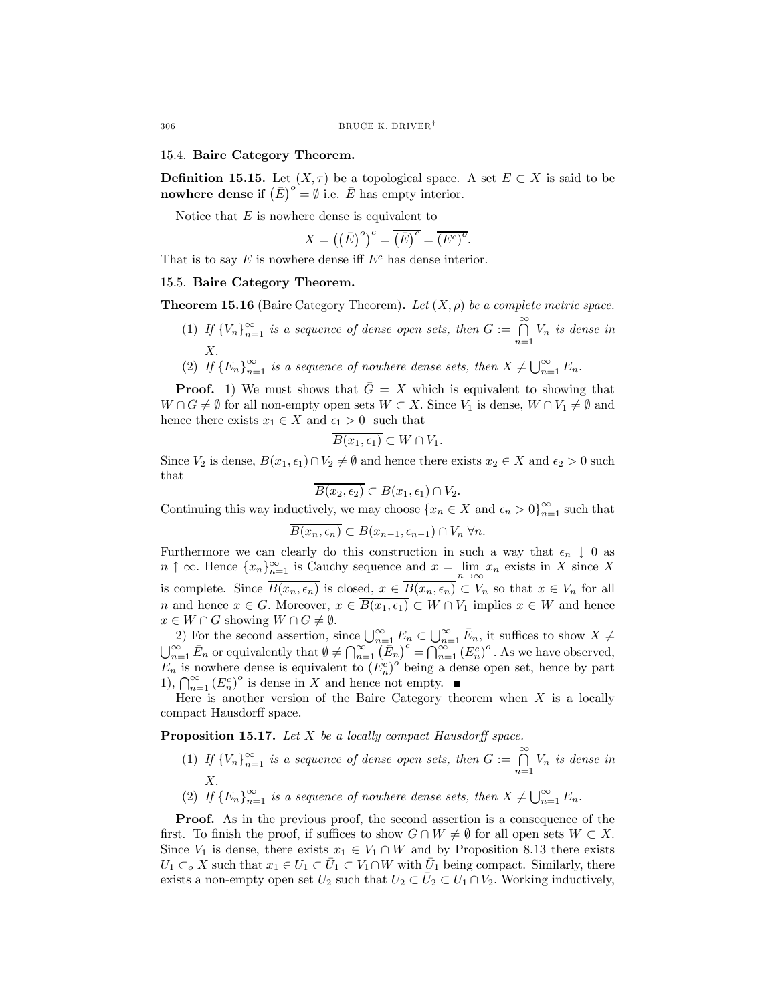## 15.4. Baire Category Theorem.

**Definition 15.15.** Let  $(X, \tau)$  be a topological space. A set  $E \subset X$  is said to be **nowhere dense** if  $(\bar{E})^{\circ} = \emptyset$  i.e.  $\bar{E}$  has empty interior.

Notice that  $E$  is nowhere dense is equivalent to

$$
X = ((\overline{E})^{\circ})^{c} = \overline{(\overline{E})^{c}} = \overline{(E^{c})^{\circ}}.
$$

That is to say  $E$  is nowhere dense iff  $E<sup>c</sup>$  has dense interior.

### 15.5. Baire Category Theorem.

**Theorem 15.16** (Baire Category Theorem). Let  $(X, \rho)$  be a complete metric space.

- (1) If  ${V_n}_{n=1}^{\infty}$  is a sequence of dense open sets, then  $G := \bigcap_{n=1}^{\infty}$  $\bigcap_{n=1}$   $V_n$  is dense in X.
- (2) If  ${E_n}_{n=1}^{\infty}$  is a sequence of nowhere dense sets, then  $X \neq \bigcup_{n=1}^{\infty} E_n$ .

**Proof.** 1) We must shows that  $\overline{G} = X$  which is equivalent to showing that  $W \cap G \neq \emptyset$  for all non-empty open sets  $W \subset X$ . Since  $V_1$  is dense,  $W \cap V_1 \neq \emptyset$  and hence there exists  $x_1 \in X$  and  $\epsilon_1 > 0$  such that

$$
B(x_1, \epsilon_1) \subset W \cap V_1.
$$

Since  $V_2$  is dense,  $B(x_1, \epsilon_1) \cap V_2 \neq \emptyset$  and hence there exists  $x_2 \in X$  and  $\epsilon_2 > 0$  such that

$$
\overline{B(x_2,\epsilon_2)} \subset B(x_1,\epsilon_1) \cap V_2.
$$

Continuing this way inductively, we may choose  $\{x_n \in X \text{ and } \epsilon_n > 0\}_{n=1}^{\infty}$  such that

$$
\overline{B(x_n,\epsilon_n)} \subset B(x_{n-1},\epsilon_{n-1}) \cap V_n \,\forall n.
$$

Furthermore we can clearly do this construction in such a way that  $\epsilon_n \downarrow 0$  as  $n \uparrow \infty$ . Hence  $\{x_n\}_{n=1}^{\infty}$  is Cauchy sequence and  $x = \lim_{n \to \infty} x_n$  exists in X since X is complete. Since  $\overline{B(x_n, \epsilon_n)}$  is closed,  $x \in \overline{B(x_n, \epsilon_n)} \subset V_n$  so that  $x \in V_n$  for all n and hence  $x \in G$ . Moreover,  $x \in \overline{B(x_1, \epsilon_1)} \subset W \cap V_1$  implies  $x \in W$  and hence  $x \in W \cap G$  showing  $W \cap G \neq \emptyset$ .

2) For the second assertion, since  $\bigcup_{n=1}^{\infty} E_n \subset \bigcup_{n=1}^{\infty} \bar{E}_n$ , it suffices to show  $X \neq \bigcup_{n=1}^{\infty} \bar{E}_n$  or equivalently that  $\emptyset \neq \bigcap_{n=1}^{\infty} (\bar{E}_n)^c = \bigcap_{n=1}^{\infty} (E_n^c)^o$ . As we have observed,  $\sum_{n=1}^{\infty} \bar{E}_n$  or equivalently that  $\emptyset \neq \bigcap_{n=1}^{\infty} (\bar{E}_n)^c = \bigcap_{n=1}^{\infty} (E_n^c)^o$ . As we have observed,  $E_n$  is nowhere dense is equivalent to  $(E_n^c)^\circ$  being a dense open set, hence by part 1),  $\bigcap_{n=1}^{\infty} (E_n^c)^o$  is dense in X and hence not empty.

Here is another version of the Baire Category theorem when  $X$  is a locally compact Hausdorff space.

Proposition 15.17. Let X be a locally compact Hausdorff space.

- (1) If  ${V_n}_{n=1}^{\infty}$  is a sequence of dense open sets, then  $G := \bigcap_{n=1}^{\infty}$  $\bigcap_{n=1}$   $V_n$  is dense in X.
- (2) If  ${E_n}_{n=1}^{\infty}$  is a sequence of nowhere dense sets, then  $X \neq \bigcup_{n=1}^{\infty} E_n$ .

**Proof.** As in the previous proof, the second assertion is a consequence of the first. To finish the proof, if suffices to show  $G \cap W \neq \emptyset$  for all open sets  $W \subset X$ . Since  $V_1$  is dense, there exists  $x_1 \in V_1 \cap W$  and by Proposition 8.13 there exists  $U_1 \subset_o X$  such that  $x_1 \in U_1 \subset \overline{U}_1 \subset V_1 \cap W$  with  $\overline{U}_1$  being compact. Similarly, there exists a non-empty open set  $U_2$  such that  $U_2 \subset \overline{U}_2 \subset U_1 \cap V_2$ . Working inductively,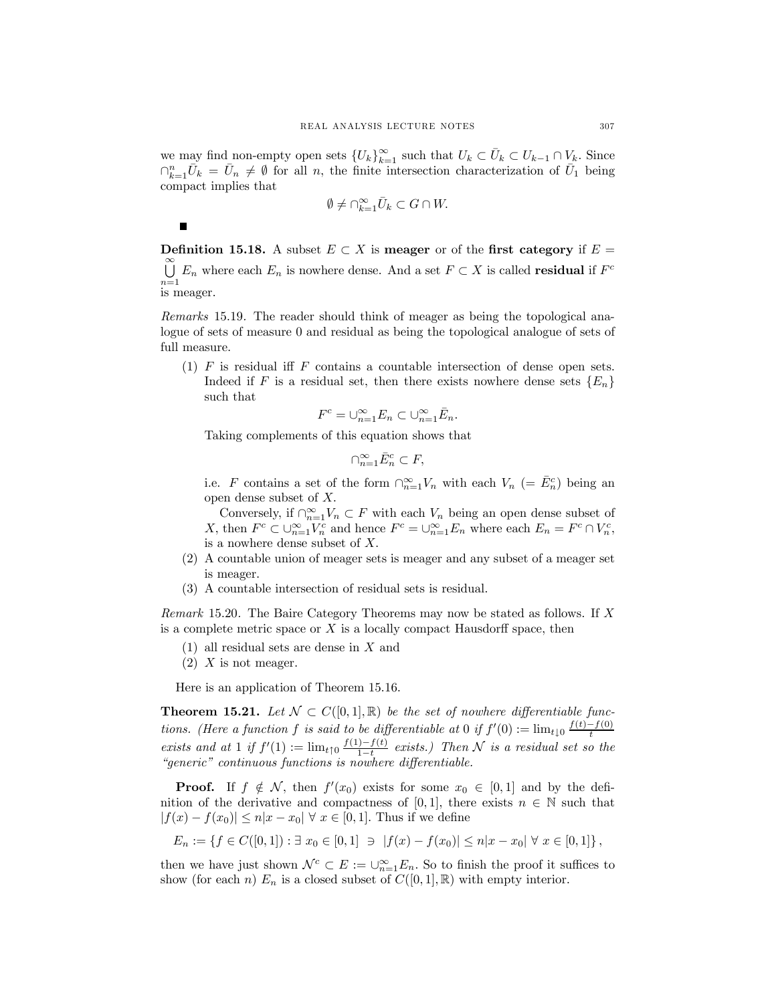we may find non-empty open sets  $\{U_k\}_{k=1}^{\infty}$  such that  $U_k \subset \bar{U}_k \subset U_{k-1} \cap V_k$ . Since  $\bigcap_{k=1}^n \bar{U}_k = \bar{U}_n \neq \emptyset$  for all n, the finite intersection characterization of  $\bar{U}_1$  being compact implies that

$$
\emptyset \neq \cap_{k=1}^{\infty} \bar{U}_k \subset G \cap W.
$$

Definition 15.18. A subset  $E \subset X$  is meager or of the first category if  $E =$ ∞<br>I I  $\bigcup_{n=1} E_n$  where each  $E_n$  is nowhere dense. And a set  $F \subset X$  is called **residual** if  $F^c$ is meager.

Remarks 15.19. The reader should think of meager as being the topological analogue of sets of measure 0 and residual as being the topological analogue of sets of full measure.

(1) F is residual iff F contains a countable intersection of dense open sets. Indeed if F is a residual set, then there exists nowhere dense sets  ${E_n}$ such that

$$
F^c = \bigcup_{n=1}^{\infty} E_n \subset \bigcup_{n=1}^{\infty} \bar{E}_n.
$$

Taking complements of this equation shows that

$$
\cap_{n=1}^{\infty} \bar{E}_n^c \subset F,
$$

i.e. F contains a set of the form  $\bigcap_{n=1}^{\infty} V_n$  with each  $V_n$  (=  $\overline{E}_n^c$ ) being an open dense subset of X.

Conversely, if  $\bigcap_{n=1}^{\infty} V_n \subset F$  with each  $V_n$  being an open dense subset of X, then  $F^c \subset \bigcup_{n=1}^{\infty} V_n^c$  and hence  $F^c = \bigcup_{n=1}^{\infty} E_n$  where each  $E_n = F^c \cap V_n^c$ , is a nowhere dense subset of X.

- (2) A countable union of meager sets is meager and any subset of a meager set is meager.
- (3) A countable intersection of residual sets is residual.

Remark 15.20. The Baire Category Theorems may now be stated as follows. If X is a complete metric space or  $X$  is a locally compact Hausdorff space, then

- (1) all residual sets are dense in X and
- $(2)$  X is not meager.

 $\blacksquare$ 

Here is an application of Theorem 15.16.

**Theorem 15.21.** Let  $\mathcal{N} \subset C([0,1],\mathbb{R})$  be the set of nowhere differentiable functions. (Here a function f is said to be differentiable at 0 if  $f'(0) := \lim_{t \downarrow 0} \frac{f(t) - f(0)}{t}$ exists and at 1 if  $f'(1) := \lim_{t \uparrow 0} \frac{f(1) - f(t)}{1 - t}$  exists.) Then N is a residual set so the "generic" continuous functions is nowhere differentiable.

**Proof.** If  $f \notin \mathcal{N}$ , then  $f'(x_0)$  exists for some  $x_0 \in [0,1]$  and by the definition of the derivative and compactness of [0, 1], there exists  $n \in \mathbb{N}$  such that  $|f(x) - f(x_0)| \leq n|x - x_0| \forall x \in [0,1].$  Thus if we define

$$
E_n := \{ f \in C([0,1]) : \exists x_0 \in [0,1] \; \ni \; |f(x) - f(x_0)| \le n|x - x_0| \; \forall x \in [0,1] \},
$$

then we have just shown  $\mathcal{N}^c \subset E := \cup_{n=1}^{\infty} E_n$ . So to finish the proof it suffices to show (for each n)  $E_n$  is a closed subset of  $C([0, 1], \mathbb{R})$  with empty interior.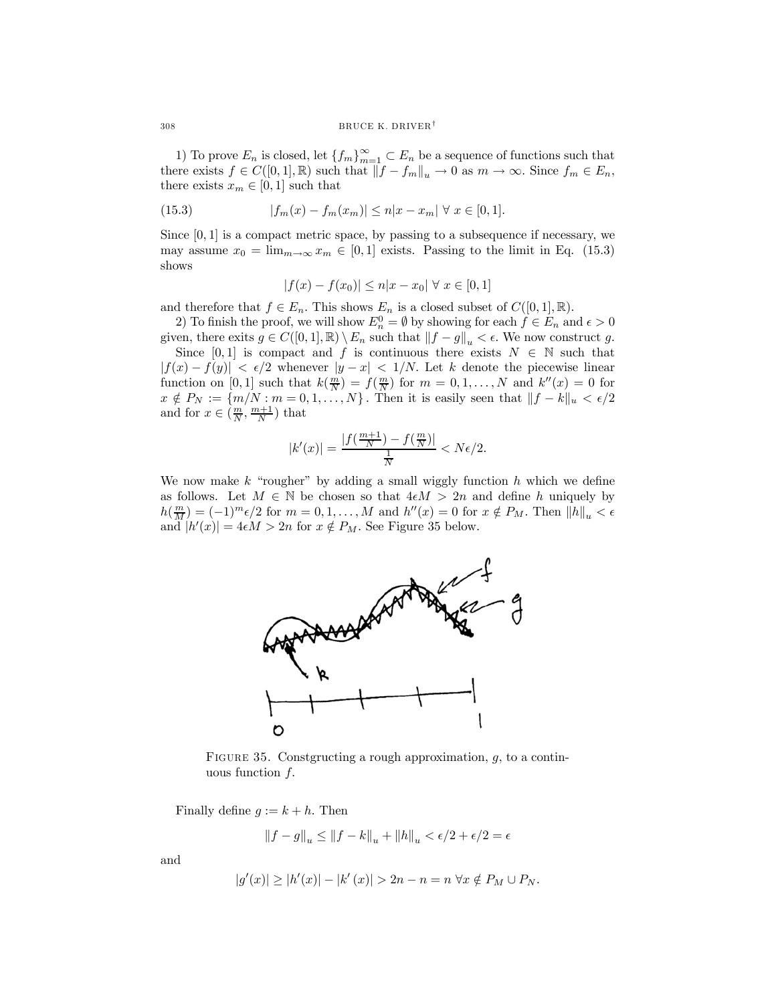1) To prove  $E_n$  is closed, let  $\{f_m\}_{m=1}^{\infty} \subset E_n$  be a sequence of functions such that there exists  $f \in C([0,1], \mathbb{R})$  such that  $||f - f_m||_u \to 0$  as  $m \to \infty$ . Since  $f_m \in E_n$ , there exists  $x_m \in [0, 1]$  such that

(15.3) 
$$
|f_m(x) - f_m(x_m)| \le n|x - x_m| \ \forall \ x \in [0, 1].
$$

Since  $[0, 1]$  is a compact metric space, by passing to a subsequence if necessary, we may assume  $x_0 = \lim_{m \to \infty} x_m \in [0, 1]$  exists. Passing to the limit in Eq. (15.3) shows

$$
|f(x) - f(x_0)| \le n|x - x_0| \,\forall \, x \in [0, 1]
$$

and therefore that  $f \in E_n$ . This shows  $E_n$  is a closed subset of  $C([0,1], \mathbb{R})$ .

2) To finish the proof, we will show  $E_n^0 = \emptyset$  by showing for each  $f \in E_n$  and  $\epsilon > 0$ given, there exits  $g \in C([0,1], \mathbb{R}) \setminus E_n$  such that  $||f - g||_u < \epsilon$ . We now construct g.

Since [0,1] is compact and f is continuous there exists  $N \in \mathbb{N}$  such that  $|f(x) - f(y)| < \epsilon/2$  whenever  $|y - x| < 1/N$ . Let k denote the piecewise linear function on [0, 1] such that  $k(\frac{m}{N}) = f(\frac{m}{N})$  for  $m = 0, 1, ..., N$  and  $k''(x) = 0$  for  $x \notin P_N := \{m/N : m = 0, 1, \ldots, N\}$ . Then it is easily seen that  $||f - k||_u < \epsilon/2$ and for  $x \in (\frac{m}{N}, \frac{m+1}{N})$  that

$$
|k'(x)| = \frac{|f(\frac{m+1}{N}) - f(\frac{m}{N})|}{\frac{1}{N}} < N\epsilon/2.
$$

We now make  $k$  "rougher" by adding a small wiggly function  $h$  which we define as follows. Let  $M \in \mathbb{N}$  be chosen so that  $4\epsilon M > 2n$  and define h uniquely by  $h(\frac{m}{M})=(-1)^m\epsilon/2$  for  $m=0,1,\ldots,M$  and  $h''(x)=0$  for  $x \notin P_M$ . Then  $||h||_u < \epsilon$ and  $|h'(x)| = 4\epsilon M > 2n$  for  $x \notin P_M$ . See Figure 35 below.



FIGURE 35. Constgructing a rough approximation,  $g$ , to a continuous function  $f$ .

Finally define  $g := k + h$ . Then

$$
||f-g||_u \le ||f-k||_u + ||h||_u < \epsilon/2 + \epsilon/2 = \epsilon
$$

and

$$
|g'(x)| \ge |h'(x)| - |k'(x)| > 2n - n = n \,\,\forall x \notin P_M \cup P_N.
$$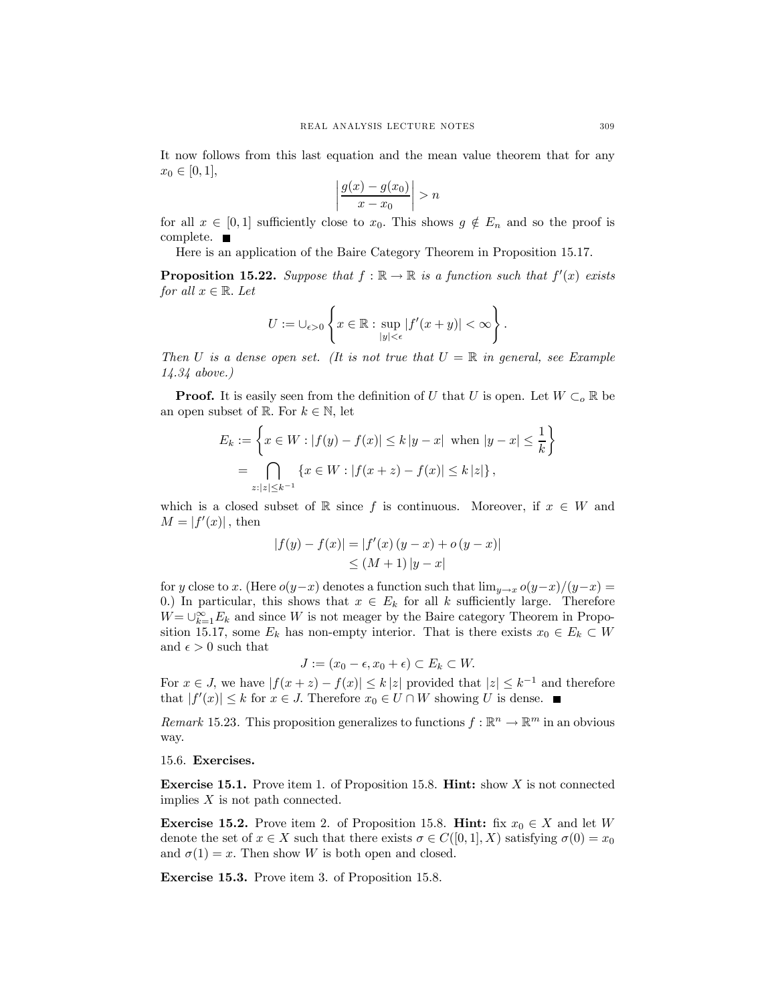It now follows from this last equation and the mean value theorem that for any  $x_0 \in [0,1],$ 

$$
\left|\frac{g(x) - g(x_0)}{x - x_0}\right| > n
$$

for all  $x \in [0,1]$  sufficiently close to  $x_0$ . This shows  $g \notin E_n$  and so the proof is complete.  $\blacksquare$ 

Here is an application of the Baire Category Theorem in Proposition 15.17.

**Proposition 15.22.** Suppose that  $f : \mathbb{R} \to \mathbb{R}$  is a function such that  $f'(x)$  exists for all  $x \in \mathbb{R}$ . Let

$$
U:=\cup_{\epsilon>0}\left\{x\in\mathbb{R}:\sup_{|y|<\epsilon}|f'(x+y)|<\infty\right\}.
$$

Then U is a dense open set. (It is not true that  $U = \mathbb{R}$  in general, see Example 14.34 above.)

**Proof.** It is easily seen from the definition of U that U is open. Let  $W \subset_{o} \mathbb{R}$  be an open subset of R. For  $k \in \mathbb{N}$ , let

$$
E_k := \left\{ x \in W : |f(y) - f(x)| \le k |y - x| \text{ when } |y - x| \le \frac{1}{k} \right\}
$$
  
= 
$$
\bigcap_{z: |z| \le k^{-1}} \left\{ x \in W : |f(x + z) - f(x)| \le k |z| \right\},
$$

which is a closed subset of R since f is continuous. Moreover, if  $x \in W$  and  $M = |f'(x)|$ , then

$$
|f(y) - f(x)| = |f'(x) (y - x) + o (y - x)|
$$
  
\n
$$
\leq (M + 1) |y - x|
$$

for y close to x. (Here  $o(y-x)$  denotes a function such that  $\lim_{y\to x} o(y-x)/(y-x)$  = 0.) In particular, this shows that  $x \in E_k$  for all k sufficiently large. Therefore  $W = \bigcup_{k=1}^{\infty} E_k$  and since W is not meager by the Baire category Theorem in Proposition 15.17, some  $E_k$  has non-empty interior. That is there exists  $x_0 \in E_k \subset W$ and  $\epsilon > 0$  such that

$$
J := (x_0 - \epsilon, x_0 + \epsilon) \subset E_k \subset W.
$$

For  $x \in J$ , we have  $|f(x+z) - f(x)| \le k |z|$  provided that  $|z| \le k^{-1}$  and therefore that  $|f'(x)| \leq k$  for  $x \in J$ . Therefore  $x_0 \in U \cap W$  showing U is dense.

Remark 15.23. This proposition generalizes to functions  $f : \mathbb{R}^n \to \mathbb{R}^m$  in an obvious way.

15.6. Exercises.

Exercise 15.1. Prove item 1. of Proposition 15.8. Hint: show X is not connected implies  $X$  is not path connected.

**Exercise 15.2.** Prove item 2. of Proposition 15.8. **Hint:** fix  $x_0 \in X$  and let W denote the set of  $x \in X$  such that there exists  $\sigma \in C([0,1], X)$  satisfying  $\sigma(0) = x_0$ and  $\sigma(1) = x$ . Then show W is both open and closed.

Exercise 15.3. Prove item 3. of Proposition 15.8.